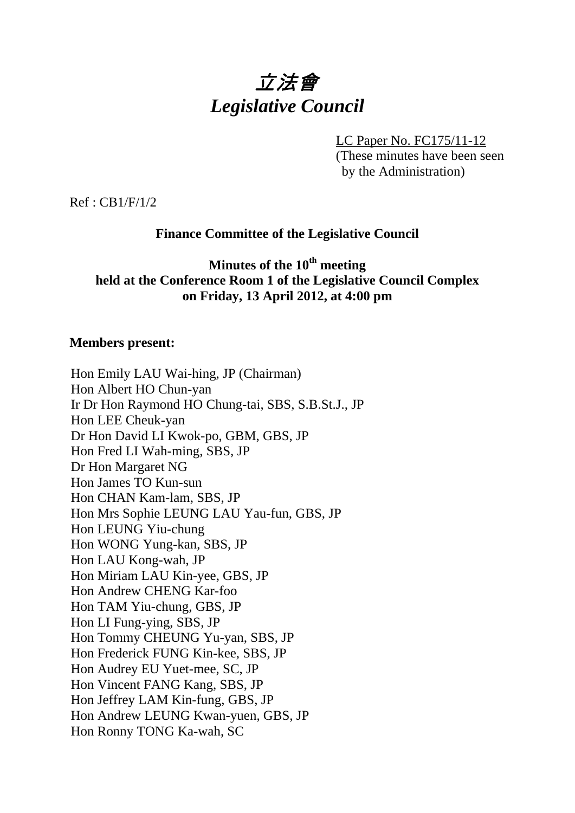# 立法會 *Legislative Council*

LC Paper No. FC175/11-12

(These minutes have been seen by the Administration)

Ref : CB1/F/1/2

# **Finance Committee of the Legislative Council**

# **Minutes of the 10th meeting held at the Conference Room 1 of the Legislative Council Complex on Friday, 13 April 2012, at 4:00 pm**

# **Members present:**

Hon Emily LAU Wai-hing, JP (Chairman) Hon Albert HO Chun-yan Ir Dr Hon Raymond HO Chung-tai, SBS, S.B.St.J., JP Hon LEE Cheuk-yan Dr Hon David LI Kwok-po, GBM, GBS, JP Hon Fred LI Wah-ming, SBS, JP Dr Hon Margaret NG Hon James TO Kun-sun Hon CHAN Kam-lam, SBS, JP Hon Mrs Sophie LEUNG LAU Yau-fun, GBS, JP Hon LEUNG Yiu-chung Hon WONG Yung-kan, SBS, JP Hon LAU Kong-wah, JP Hon Miriam LAU Kin-yee, GBS, JP Hon Andrew CHENG Kar-foo Hon TAM Yiu-chung, GBS, JP Hon LI Fung-ying, SBS, JP Hon Tommy CHEUNG Yu-yan, SBS, JP Hon Frederick FUNG Kin-kee, SBS, JP Hon Audrey EU Yuet-mee, SC, JP Hon Vincent FANG Kang, SBS, JP Hon Jeffrey LAM Kin-fung, GBS, JP Hon Andrew LEUNG Kwan-yuen, GBS, JP Hon Ronny TONG Ka-wah, SC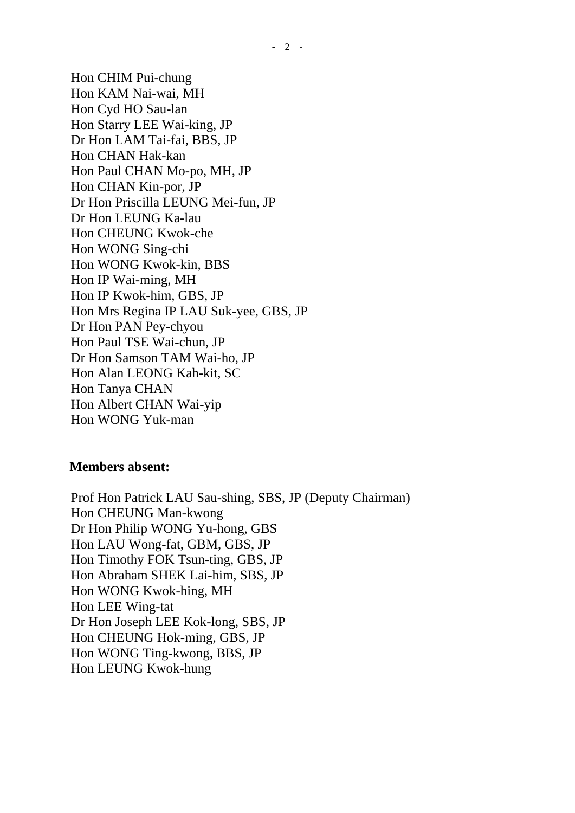Hon CHIM Pui-chung Hon KAM Nai-wai, MH Hon Cyd HO Sau-lan Hon Starry LEE Wai-king, JP Dr Hon LAM Tai-fai, BBS, JP Hon CHAN Hak-kan Hon Paul CHAN Mo-po, MH, JP Hon CHAN Kin-por, JP Dr Hon Priscilla LEUNG Mei-fun, JP Dr Hon LEUNG Ka-lau Hon CHEUNG Kwok-che Hon WONG Sing-chi Hon WONG Kwok-kin, BBS Hon IP Wai-ming, MH Hon IP Kwok-him, GBS, JP Hon Mrs Regina IP LAU Suk-yee, GBS, JP Dr Hon PAN Pey-chyou Hon Paul TSE Wai-chun, JP Dr Hon Samson TAM Wai-ho, JP Hon Alan LEONG Kah-kit, SC Hon Tanya CHAN Hon Albert CHAN Wai-yip Hon WONG Yuk-man

#### **Members absent:**

Prof Hon Patrick LAU Sau-shing, SBS, JP (Deputy Chairman) Hon CHEUNG Man-kwong Dr Hon Philip WONG Yu-hong, GBS Hon LAU Wong-fat, GBM, GBS, JP Hon Timothy FOK Tsun-ting, GBS, JP Hon Abraham SHEK Lai-him, SBS, JP Hon WONG Kwok-hing, MH Hon LEE Wing-tat Dr Hon Joseph LEE Kok-long, SBS, JP Hon CHEUNG Hok-ming, GBS, JP Hon WONG Ting-kwong, BBS, JP Hon LEUNG Kwok-hung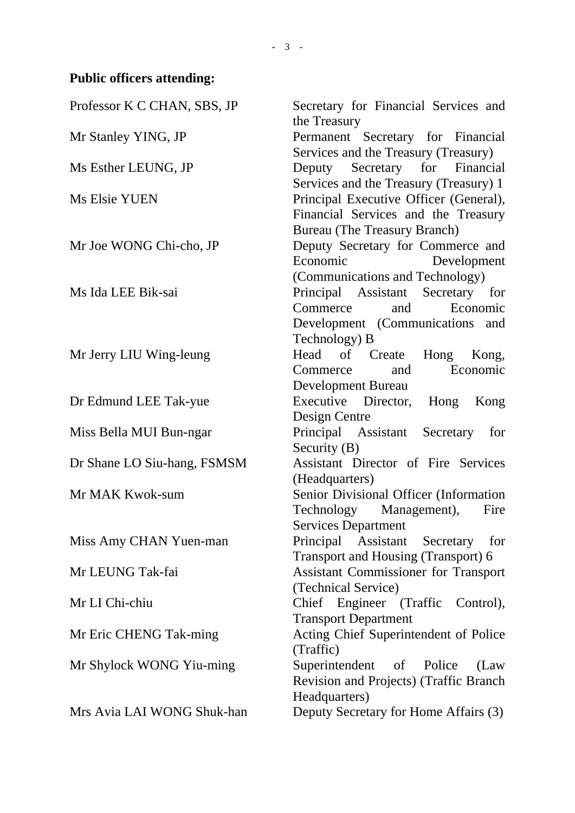# **Public officers attending:**

| Professor K C CHAN, SBS, JP | Secretary for Financial Services and<br>the Treasury |  |  |  |
|-----------------------------|------------------------------------------------------|--|--|--|
| Mr Stanley YING, JP         | Permanent Secretary for Financial                    |  |  |  |
|                             | Services and the Treasury (Treasury)                 |  |  |  |
| Ms Esther LEUNG, JP         | Deputy Secretary for Financial                       |  |  |  |
|                             | Services and the Treasury (Treasury) 1               |  |  |  |
| Ms Elsie YUEN               | Principal Executive Officer (General),               |  |  |  |
|                             | Financial Services and the Treasury                  |  |  |  |
|                             | <b>Bureau</b> (The Treasury Branch)                  |  |  |  |
|                             |                                                      |  |  |  |
| Mr Joe WONG Chi-cho, JP     | Deputy Secretary for Commerce and<br>Economic        |  |  |  |
|                             | Development                                          |  |  |  |
|                             | (Communications and Technology)                      |  |  |  |
| Ms Ida LEE Bik-sai          | Principal Assistant Secretary for                    |  |  |  |
|                             | and<br>Economic<br>Commerce                          |  |  |  |
|                             | Development (Communications and                      |  |  |  |
|                             | Technology) B                                        |  |  |  |
| Mr Jerry LIU Wing-leung     | Head of Create<br>Hong Kong,                         |  |  |  |
|                             | Economic<br>Commerce<br>and                          |  |  |  |
|                             | Development Bureau                                   |  |  |  |
| Dr Edmund LEE Tak-yue       | Executive Director, Hong<br>Kong                     |  |  |  |
|                             | Design Centre                                        |  |  |  |
| Miss Bella MUI Bun-ngar     | Principal Assistant Secretary<br>for                 |  |  |  |
|                             | Security $(B)$                                       |  |  |  |
| Dr Shane LO Siu-hang, FSMSM | Assistant Director of Fire Services                  |  |  |  |
|                             | (Headquarters)                                       |  |  |  |
| Mr MAK Kwok-sum             | Senior Divisional Officer (Information               |  |  |  |
|                             | Technology Management),<br>Fire                      |  |  |  |
|                             | <b>Services Department</b>                           |  |  |  |
| Miss Amy CHAN Yuen-man      | Principal Assistant Secretary<br>for                 |  |  |  |
|                             | Transport and Housing (Transport) 6                  |  |  |  |
| Mr LEUNG Tak-fai            | Assistant Commissioner for Transport                 |  |  |  |
|                             | (Technical Service)                                  |  |  |  |
| Mr LI Chi-chiu              | Chief Engineer (Traffic Control),                    |  |  |  |
|                             | <b>Transport Department</b>                          |  |  |  |
| Mr Eric CHENG Tak-ming      | Acting Chief Superintendent of Police                |  |  |  |
|                             | (Traffic)                                            |  |  |  |
| Mr Shylock WONG Yiu-ming    | Superintendent of Police<br>(Law)                    |  |  |  |
|                             | Revision and Projects) (Traffic Branch               |  |  |  |
|                             | Headquarters)                                        |  |  |  |
| Mrs Avia LAI WONG Shuk-han  | Deputy Secretary for Home Affairs (3)                |  |  |  |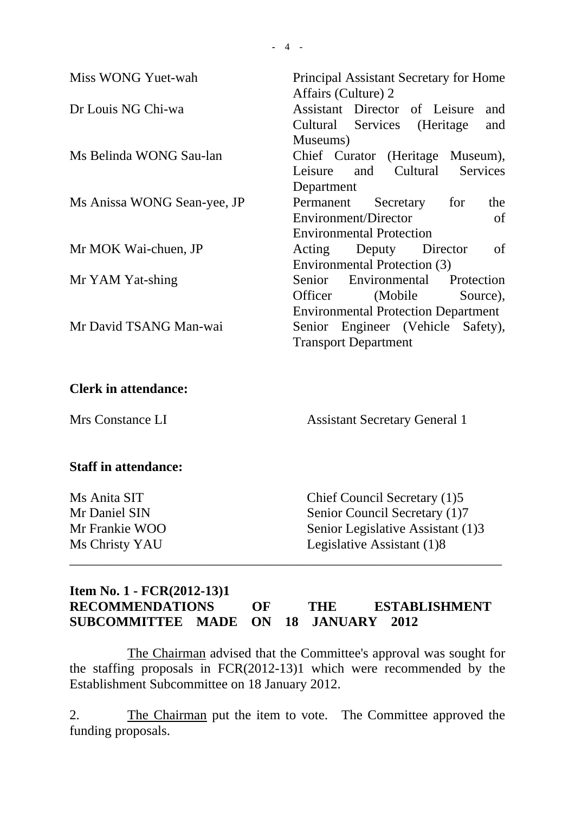| Miss WONG Yuet-wah          | Principal Assistant Secretary for Home                                                                                 |  |  |  |
|-----------------------------|------------------------------------------------------------------------------------------------------------------------|--|--|--|
| Dr Louis NG Chi-wa          | Affairs (Culture) 2<br><b>Assistant</b> Director<br>of Leisure<br>and<br>(Heritage)<br>Cultural Services<br>and        |  |  |  |
| Ms Belinda WONG Sau-lan     | Museums)<br>Chief Curator (Heritage Museum),<br>Cultural<br><b>Services</b><br>Leisure<br>and<br>Department            |  |  |  |
| Ms Anissa WONG Sean-yee, JP | for<br>Permanent<br>Secretary<br>the<br>Environment/Director<br>of<br><b>Environmental Protection</b>                  |  |  |  |
| Mr MOK Wai-chuen, JP        | of<br>Acting<br>Deputy Director<br>Environmental Protection (3)                                                        |  |  |  |
| Mr YAM Yat-shing            | Environmental<br>Senior<br>Protection<br>Officer<br>(Mobile)<br>Source),<br><b>Environmental Protection Department</b> |  |  |  |
| Mr David TSANG Man-wai      | Senior Engineer (Vehicle Safety),<br><b>Transport Department</b>                                                       |  |  |  |
| <b>Clerk in attendance:</b> |                                                                                                                        |  |  |  |
| Mrs Constance LI            | <b>Assistant Secretary General 1</b>                                                                                   |  |  |  |
| <b>Staff in attendance:</b> |                                                                                                                        |  |  |  |
| Ms Anita SIT                | Chief Council Secretary (1)5                                                                                           |  |  |  |
| Mr Daniel SIN               | Senior Council Secretary (1)7                                                                                          |  |  |  |
| Mr Frankie WOO              | Senior Legislative Assistant (1)3                                                                                      |  |  |  |

#### **Item No. 1 - FCR(2012-13)1 RECOMMENDATIONS OF THE ESTABLISHMENT SUBCOMMITTEE MADE ON 18 JANUARY 2012**

\_\_\_\_\_\_\_\_\_\_\_\_\_\_\_\_\_\_\_\_\_\_\_\_\_\_\_\_\_\_\_\_\_\_\_\_\_\_\_\_\_\_\_\_\_\_\_\_\_\_\_\_\_\_\_\_\_\_\_\_\_\_\_\_

Ms Christy YAU Legislative Assistant (1)8

 The Chairman advised that the Committee's approval was sought for the staffing proposals in FCR(2012-13)1 which were recommended by the Establishment Subcommittee on 18 January 2012.

2. The Chairman put the item to vote. The Committee approved the funding proposals.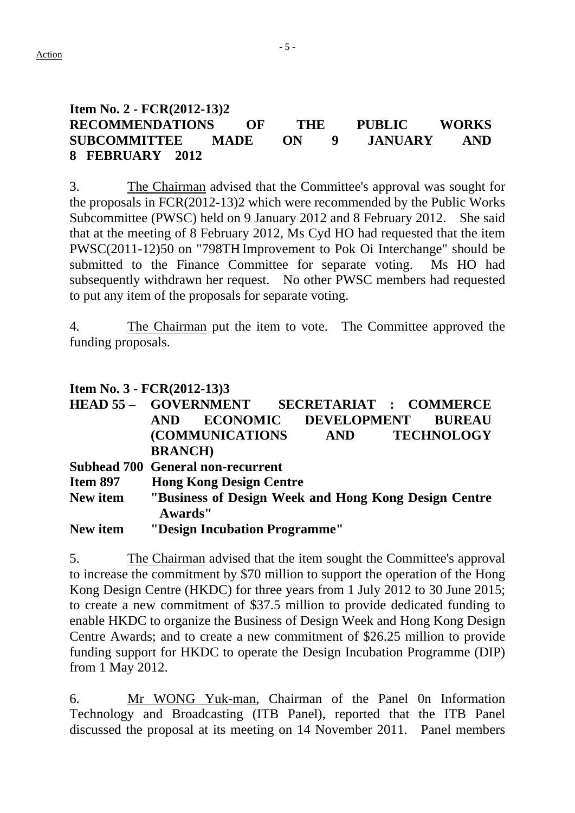# **Item No. 2 - FCR(2012-13)2 RECOMMENDATIONS OF THE PUBLIC WORKS SUBCOMMITTEE MADE ON 9 JANUARY AND 8 FEBRUARY 2012**

3. The Chairman advised that the Committee's approval was sought for the proposals in FCR(2012-13)2 which were recommended by the Public Works Subcommittee (PWSC) held on 9 January 2012 and 8 February 2012. She said that at the meeting of 8 February 2012, Ms Cyd HO had requested that the item PWSC(2011-12)50 on "798TH Improvement to Pok Oi Interchange" should be submitted to the Finance Committee for separate voting. Ms HO had subsequently withdrawn her request. No other PWSC members had requested to put any item of the proposals for separate voting.

4. The Chairman put the item to vote. The Committee approved the funding proposals.

# **Item No. 3 - FCR(2012-13)3**

|                 |                                                                 |                               |     |                    | <b>HEAD 55 - GOVERNMENT SECRETARIAT : COMMERCE</b> |  |  |
|-----------------|-----------------------------------------------------------------|-------------------------------|-----|--------------------|----------------------------------------------------|--|--|
|                 | <b>AND</b>                                                      | <b>ECONOMIC</b>               |     | <b>DEVELOPMENT</b> | <b>BUREAU</b>                                      |  |  |
|                 |                                                                 | <b>(COMMUNICATIONS)</b>       | AND |                    | <b>TECHNOLOGY</b>                                  |  |  |
|                 | <b>BRANCH</b> )                                                 |                               |     |                    |                                                    |  |  |
|                 | <b>Subhead 700 General non-recurrent</b>                        |                               |     |                    |                                                    |  |  |
| <b>Item 897</b> | <b>Hong Kong Design Centre</b>                                  |                               |     |                    |                                                    |  |  |
| New item        | "Business of Design Week and Hong Kong Design Centre<br>Awards" |                               |     |                    |                                                    |  |  |
| New item        |                                                                 | "Design Incubation Programme" |     |                    |                                                    |  |  |

5. The Chairman advised that the item sought the Committee's approval to increase the commitment by \$70 million to support the operation of the Hong Kong Design Centre (HKDC) for three years from 1 July 2012 to 30 June 2015; to create a new commitment of \$37.5 million to provide dedicated funding to enable HKDC to organize the Business of Design Week and Hong Kong Design Centre Awards; and to create a new commitment of \$26.25 million to provide funding support for HKDC to operate the Design Incubation Programme (DIP) from 1 May 2012.

6. Mr WONG Yuk-man, Chairman of the Panel 0n Information Technology and Broadcasting (ITB Panel), reported that the ITB Panel discussed the proposal at its meeting on 14 November 2011. Panel members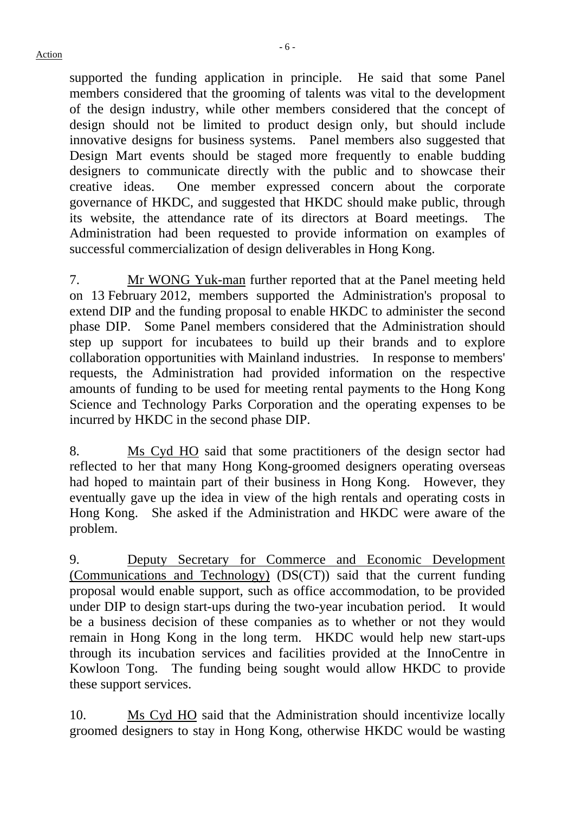supported the funding application in principle. He said that some Panel members considered that the grooming of talents was vital to the development of the design industry, while other members considered that the concept of design should not be limited to product design only, but should include innovative designs for business systems. Panel members also suggested that Design Mart events should be staged more frequently to enable budding designers to communicate directly with the public and to showcase their creative ideas. One member expressed concern about the corporate governance of HKDC, and suggested that HKDC should make public, through its website, the attendance rate of its directors at Board meetings. The Administration had been requested to provide information on examples of successful commercialization of design deliverables in Hong Kong.

7. Mr WONG Yuk-man further reported that at the Panel meeting held on 13 February 2012, members supported the Administration's proposal to extend DIP and the funding proposal to enable HKDC to administer the second phase DIP. Some Panel members considered that the Administration should step up support for incubatees to build up their brands and to explore collaboration opportunities with Mainland industries. In response to members' requests, the Administration had provided information on the respective amounts of funding to be used for meeting rental payments to the Hong Kong Science and Technology Parks Corporation and the operating expenses to be incurred by HKDC in the second phase DIP.

8. Ms Cyd HO said that some practitioners of the design sector had reflected to her that many Hong Kong-groomed designers operating overseas had hoped to maintain part of their business in Hong Kong. However, they eventually gave up the idea in view of the high rentals and operating costs in Hong Kong. She asked if the Administration and HKDC were aware of the problem.

9. Deputy Secretary for Commerce and Economic Development (Communications and Technology) (DS(CT)) said that the current funding proposal would enable support, such as office accommodation, to be provided under DIP to design start-ups during the two-year incubation period. It would be a business decision of these companies as to whether or not they would remain in Hong Kong in the long term. HKDC would help new start-ups through its incubation services and facilities provided at the InnoCentre in Kowloon Tong. The funding being sought would allow HKDC to provide these support services.

10. Ms Cyd HO said that the Administration should incentivize locally groomed designers to stay in Hong Kong, otherwise HKDC would be wasting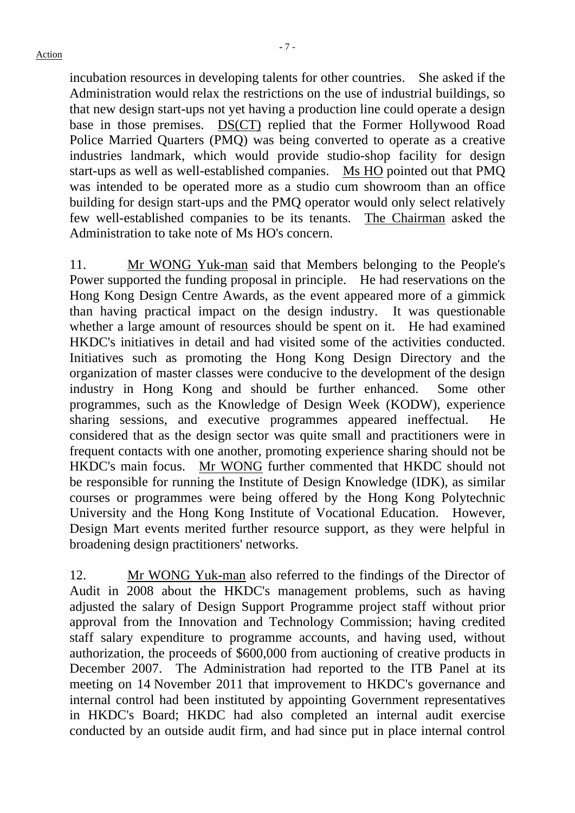incubation resources in developing talents for other countries. She asked if the Administration would relax the restrictions on the use of industrial buildings, so that new design start-ups not yet having a production line could operate a design base in those premises. DS(CT) replied that the Former Hollywood Road Police Married Quarters (PMQ) was being converted to operate as a creative industries landmark, which would provide studio-shop facility for design start-ups as well as well-established companies. Ms HO pointed out that PMQ was intended to be operated more as a studio cum showroom than an office building for design start-ups and the PMQ operator would only select relatively few well-established companies to be its tenants. The Chairman asked the Administration to take note of Ms HO's concern.

11. Mr WONG Yuk-man said that Members belonging to the People's Power supported the funding proposal in principle. He had reservations on the Hong Kong Design Centre Awards, as the event appeared more of a gimmick than having practical impact on the design industry. It was questionable whether a large amount of resources should be spent on it. He had examined HKDC's initiatives in detail and had visited some of the activities conducted. Initiatives such as promoting the Hong Kong Design Directory and the organization of master classes were conducive to the development of the design industry in Hong Kong and should be further enhanced. Some other programmes, such as the Knowledge of Design Week (KODW), experience sharing sessions, and executive programmes appeared ineffectual. He considered that as the design sector was quite small and practitioners were in frequent contacts with one another, promoting experience sharing should not be HKDC's main focus. Mr WONG further commented that HKDC should not be responsible for running the Institute of Design Knowledge (IDK), as similar courses or programmes were being offered by the Hong Kong Polytechnic University and the Hong Kong Institute of Vocational Education. However, Design Mart events merited further resource support, as they were helpful in broadening design practitioners' networks.

12. Mr WONG Yuk-man also referred to the findings of the Director of Audit in 2008 about the HKDC's management problems, such as having adjusted the salary of Design Support Programme project staff without prior approval from the Innovation and Technology Commission; having credited staff salary expenditure to programme accounts, and having used, without authorization, the proceeds of \$600,000 from auctioning of creative products in December 2007. The Administration had reported to the ITB Panel at its meeting on 14 November 2011 that improvement to HKDC's governance and internal control had been instituted by appointing Government representatives in HKDC's Board; HKDC had also completed an internal audit exercise conducted by an outside audit firm, and had since put in place internal control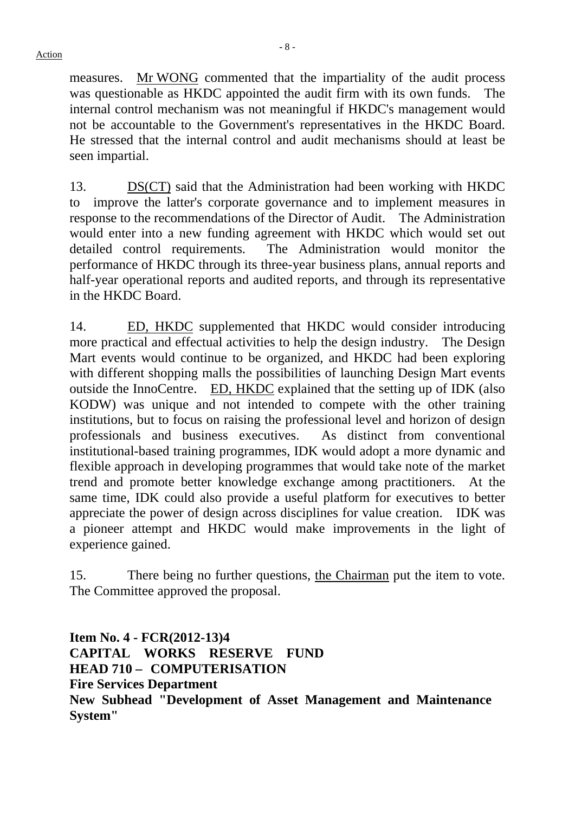measures. Mr WONG commented that the impartiality of the audit process was questionable as HKDC appointed the audit firm with its own funds. The internal control mechanism was not meaningful if HKDC's management would not be accountable to the Government's representatives in the HKDC Board. He stressed that the internal control and audit mechanisms should at least be seen impartial.

13. DS(CT) said that the Administration had been working with HKDC to improve the latter's corporate governance and to implement measures in response to the recommendations of the Director of Audit. The Administration would enter into a new funding agreement with HKDC which would set out detailed control requirements. The Administration would monitor the performance of HKDC through its three-year business plans, annual reports and half-year operational reports and audited reports, and through its representative in the HKDC Board.

14. ED, HKDC supplemented that HKDC would consider introducing more practical and effectual activities to help the design industry. The Design Mart events would continue to be organized, and HKDC had been exploring with different shopping malls the possibilities of launching Design Mart events outside the InnoCentre. ED, HKDC explained that the setting up of IDK (also KODW) was unique and not intended to compete with the other training institutions, but to focus on raising the professional level and horizon of design professionals and business executives. As distinct from conventional institutional-based training programmes, IDK would adopt a more dynamic and flexible approach in developing programmes that would take note of the market trend and promote better knowledge exchange among practitioners. At the same time, IDK could also provide a useful platform for executives to better appreciate the power of design across disciplines for value creation. IDK was a pioneer attempt and HKDC would make improvements in the light of experience gained.

15. There being no further questions, the Chairman put the item to vote. The Committee approved the proposal.

**Item No. 4 - FCR(2012-13)4 CAPITAL WORKS RESERVE FUND HEAD 710 – COMPUTERISATION Fire Services Department New Subhead "Development of Asset Management and Maintenance System"**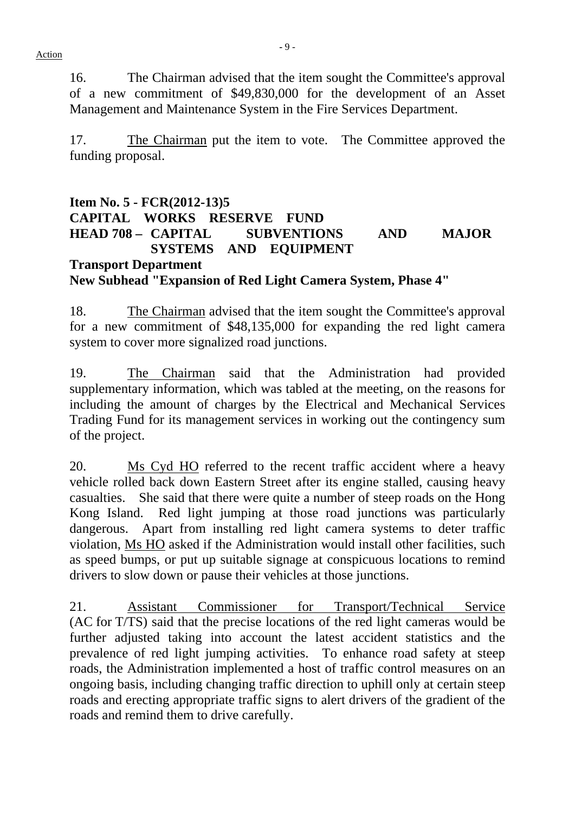16. The Chairman advised that the item sought the Committee's approval of a new commitment of \$49,830,000 for the development of an Asset Management and Maintenance System in the Fire Services Department.

17. The Chairman put the item to vote. The Committee approved the funding proposal.

# **Item No. 5 - FCR(2012-13)5 CAPITAL WORKS RESERVE FUND HEAD 708 – CAPITAL SUBVENTIONS AND MAJOR SYSTEMS AND EQUIPMENT Transport Department New Subhead "Expansion of Red Light Camera System, Phase 4"**

18. The Chairman advised that the item sought the Committee's approval for a new commitment of \$48,135,000 for expanding the red light camera system to cover more signalized road junctions.

19. The Chairman said that the Administration had provided supplementary information, which was tabled at the meeting, on the reasons for including the amount of charges by the Electrical and Mechanical Services Trading Fund for its management services in working out the contingency sum of the project.

20. Ms Cyd HO referred to the recent traffic accident where a heavy vehicle rolled back down Eastern Street after its engine stalled, causing heavy casualties. She said that there were quite a number of steep roads on the Hong Kong Island. Red light jumping at those road junctions was particularly dangerous. Apart from installing red light camera systems to deter traffic violation, Ms HO asked if the Administration would install other facilities, such as speed bumps, or put up suitable signage at conspicuous locations to remind drivers to slow down or pause their vehicles at those junctions.

21. Assistant Commissioner for Transport/Technical Service (AC for T/TS) said that the precise locations of the red light cameras would be further adjusted taking into account the latest accident statistics and the prevalence of red light jumping activities. To enhance road safety at steep roads, the Administration implemented a host of traffic control measures on an ongoing basis, including changing traffic direction to uphill only at certain steep roads and erecting appropriate traffic signs to alert drivers of the gradient of the roads and remind them to drive carefully.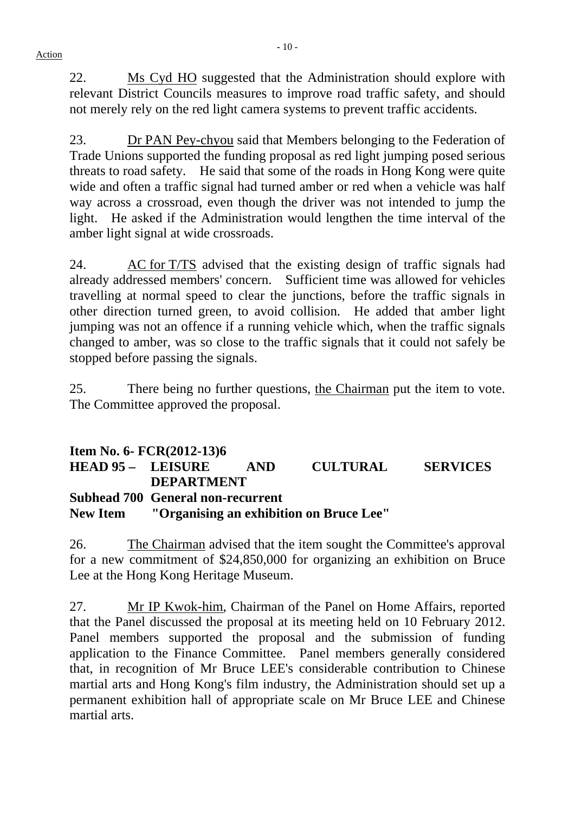22. Ms Cyd HO suggested that the Administration should explore with relevant District Councils measures to improve road traffic safety, and should not merely rely on the red light camera systems to prevent traffic accidents.

23. Dr PAN Pey-chyou said that Members belonging to the Federation of Trade Unions supported the funding proposal as red light jumping posed serious threats to road safety. He said that some of the roads in Hong Kong were quite wide and often a traffic signal had turned amber or red when a vehicle was half way across a crossroad, even though the driver was not intended to jump the light. He asked if the Administration would lengthen the time interval of the amber light signal at wide crossroads.

24. AC for T/TS advised that the existing design of traffic signals had already addressed members' concern. Sufficient time was allowed for vehicles travelling at normal speed to clear the junctions, before the traffic signals in other direction turned green, to avoid collision. He added that amber light jumping was not an offence if a running vehicle which, when the traffic signals changed to amber, was so close to the traffic signals that it could not safely be stopped before passing the signals.

25. There being no further questions, the Chairman put the item to vote. The Committee approved the proposal.

|                     | Item No. 6- $FCR(2012-13)6$                      |      |                 |                 |  |  |  |
|---------------------|--------------------------------------------------|------|-----------------|-----------------|--|--|--|
| $HEAD 95 - LEISURE$ |                                                  | AND. | <b>CULTURAL</b> | <b>SERVICES</b> |  |  |  |
|                     | <b>DEPARTMENT</b>                                |      |                 |                 |  |  |  |
|                     | <b>Subhead 700 General non-recurrent</b>         |      |                 |                 |  |  |  |
|                     | New Item "Organising an exhibition on Bruce Lee" |      |                 |                 |  |  |  |

26. The Chairman advised that the item sought the Committee's approval for a new commitment of \$24,850,000 for organizing an exhibition on Bruce Lee at the Hong Kong Heritage Museum.

27. Mr IP Kwok-him, Chairman of the Panel on Home Affairs, reported that the Panel discussed the proposal at its meeting held on 10 February 2012. Panel members supported the proposal and the submission of funding application to the Finance Committee. Panel members generally considered that, in recognition of Mr Bruce LEE's considerable contribution to Chinese martial arts and Hong Kong's film industry, the Administration should set up a permanent exhibition hall of appropriate scale on Mr Bruce LEE and Chinese martial arts.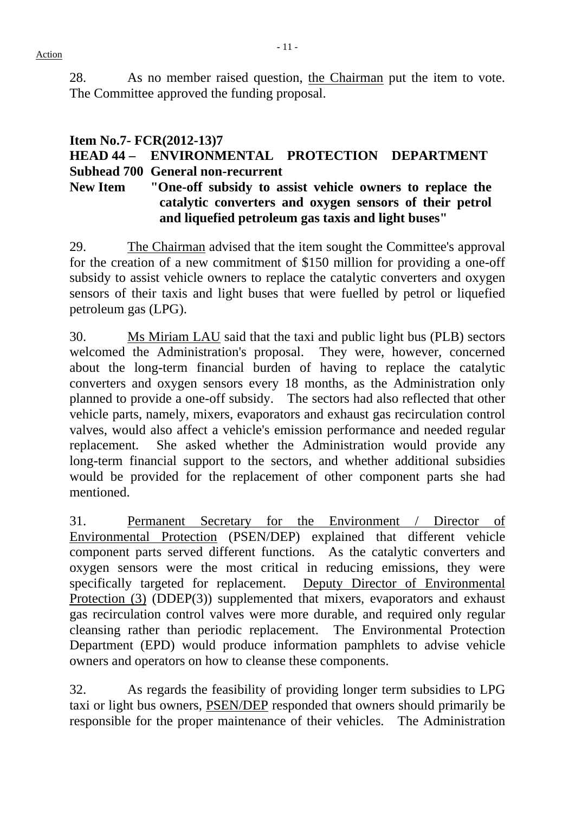28. As no member raised question, the Chairman put the item to vote. The Committee approved the funding proposal.

# **Item No.7- FCR(2012-13)7 HEAD 44 – ENVIRONMENTAL PROTECTION DEPARTMENT Subhead 700 General non-recurrent**

# **New Item "One-off subsidy to assist vehicle owners to replace the catalytic converters and oxygen sensors of their petrol and liquefied petroleum gas taxis and light buses"**

29. The Chairman advised that the item sought the Committee's approval for the creation of a new commitment of \$150 million for providing a one-off subsidy to assist vehicle owners to replace the catalytic converters and oxygen sensors of their taxis and light buses that were fuelled by petrol or liquefied petroleum gas (LPG).

30. Ms Miriam LAU said that the taxi and public light bus (PLB) sectors welcomed the Administration's proposal. They were, however, concerned about the long-term financial burden of having to replace the catalytic converters and oxygen sensors every 18 months, as the Administration only planned to provide a one-off subsidy. The sectors had also reflected that other vehicle parts, namely, mixers, evaporators and exhaust gas recirculation control valves, would also affect a vehicle's emission performance and needed regular replacement. She asked whether the Administration would provide any long-term financial support to the sectors, and whether additional subsidies would be provided for the replacement of other component parts she had mentioned.

31. Permanent Secretary for the Environment / Director of Environmental Protection (PSEN/DEP) explained that different vehicle component parts served different functions. As the catalytic converters and oxygen sensors were the most critical in reducing emissions, they were specifically targeted for replacement. Deputy Director of Environmental Protection (3) (DDEP(3)) supplemented that mixers, evaporators and exhaust gas recirculation control valves were more durable, and required only regular cleansing rather than periodic replacement. The Environmental Protection Department (EPD) would produce information pamphlets to advise vehicle owners and operators on how to cleanse these components.

32. As regards the feasibility of providing longer term subsidies to LPG taxi or light bus owners, PSEN/DEP responded that owners should primarily be responsible for the proper maintenance of their vehicles. The Administration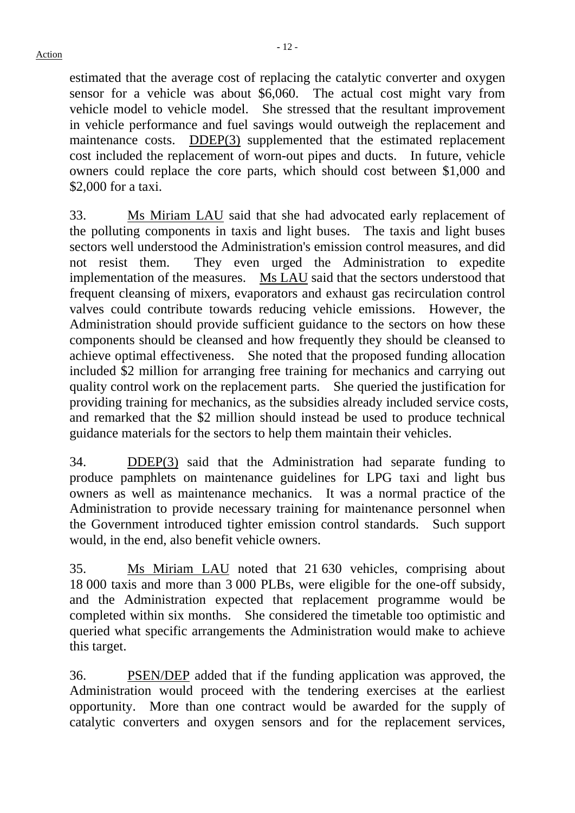estimated that the average cost of replacing the catalytic converter and oxygen sensor for a vehicle was about \$6,060. The actual cost might vary from vehicle model to vehicle model. She stressed that the resultant improvement in vehicle performance and fuel savings would outweigh the replacement and maintenance costs. DDEP(3) supplemented that the estimated replacement cost included the replacement of worn-out pipes and ducts. In future, vehicle owners could replace the core parts, which should cost between \$1,000 and \$2,000 for a taxi.

33. Ms Miriam LAU said that she had advocated early replacement of the polluting components in taxis and light buses. The taxis and light buses sectors well understood the Administration's emission control measures, and did not resist them. They even urged the Administration to expedite implementation of the measures. Ms LAU said that the sectors understood that frequent cleansing of mixers, evaporators and exhaust gas recirculation control valves could contribute towards reducing vehicle emissions. However, the Administration should provide sufficient guidance to the sectors on how these components should be cleansed and how frequently they should be cleansed to achieve optimal effectiveness. She noted that the proposed funding allocation included \$2 million for arranging free training for mechanics and carrying out quality control work on the replacement parts. She queried the justification for providing training for mechanics, as the subsidies already included service costs, and remarked that the \$2 million should instead be used to produce technical guidance materials for the sectors to help them maintain their vehicles.

34. DDEP(3) said that the Administration had separate funding to produce pamphlets on maintenance guidelines for LPG taxi and light bus owners as well as maintenance mechanics. It was a normal practice of the Administration to provide necessary training for maintenance personnel when the Government introduced tighter emission control standards. Such support would, in the end, also benefit vehicle owners.

35. Ms Miriam LAU noted that 21 630 vehicles, comprising about 18 000 taxis and more than 3 000 PLBs, were eligible for the one-off subsidy, and the Administration expected that replacement programme would be completed within six months. She considered the timetable too optimistic and queried what specific arrangements the Administration would make to achieve this target.

36. PSEN/DEP added that if the funding application was approved, the Administration would proceed with the tendering exercises at the earliest opportunity. More than one contract would be awarded for the supply of catalytic converters and oxygen sensors and for the replacement services,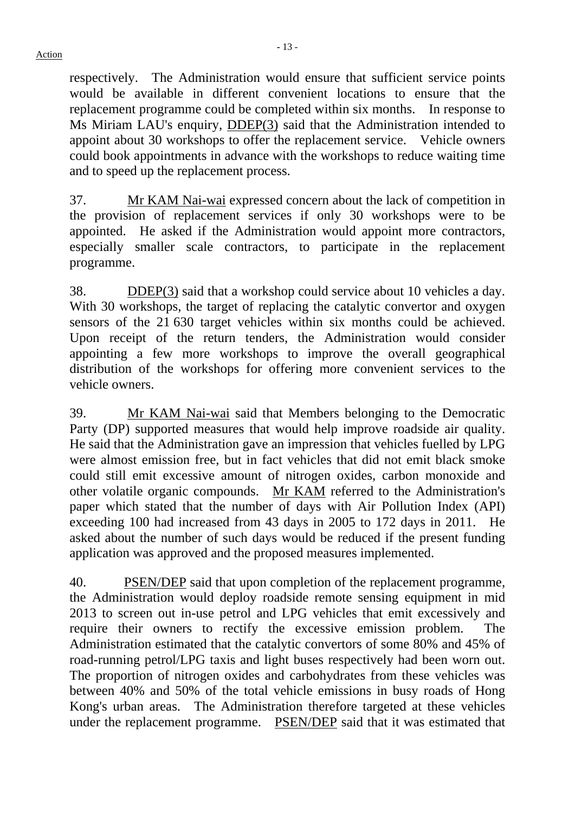respectively. The Administration would ensure that sufficient service points would be available in different convenient locations to ensure that the replacement programme could be completed within six months. In response to Ms Miriam LAU's enquiry, DDEP(3) said that the Administration intended to appoint about 30 workshops to offer the replacement service. Vehicle owners could book appointments in advance with the workshops to reduce waiting time and to speed up the replacement process.

37. Mr KAM Nai-wai expressed concern about the lack of competition in the provision of replacement services if only 30 workshops were to be appointed. He asked if the Administration would appoint more contractors, especially smaller scale contractors, to participate in the replacement programme.

38. DDEP(3) said that a workshop could service about 10 vehicles a day. With 30 workshops, the target of replacing the catalytic convertor and oxygen sensors of the 21 630 target vehicles within six months could be achieved. Upon receipt of the return tenders, the Administration would consider appointing a few more workshops to improve the overall geographical distribution of the workshops for offering more convenient services to the vehicle owners.

39. Mr KAM Nai-wai said that Members belonging to the Democratic Party (DP) supported measures that would help improve roadside air quality. He said that the Administration gave an impression that vehicles fuelled by LPG were almost emission free, but in fact vehicles that did not emit black smoke could still emit excessive amount of nitrogen oxides, carbon monoxide and other volatile organic compounds. Mr KAM referred to the Administration's paper which stated that the number of days with Air Pollution Index (API) exceeding 100 had increased from 43 days in 2005 to 172 days in 2011. He asked about the number of such days would be reduced if the present funding application was approved and the proposed measures implemented.

40. PSEN/DEP said that upon completion of the replacement programme, the Administration would deploy roadside remote sensing equipment in mid 2013 to screen out in-use petrol and LPG vehicles that emit excessively and require their owners to rectify the excessive emission problem. The Administration estimated that the catalytic convertors of some 80% and 45% of road-running petrol/LPG taxis and light buses respectively had been worn out. The proportion of nitrogen oxides and carbohydrates from these vehicles was between 40% and 50% of the total vehicle emissions in busy roads of Hong Kong's urban areas. The Administration therefore targeted at these vehicles under the replacement programme. PSEN/DEP said that it was estimated that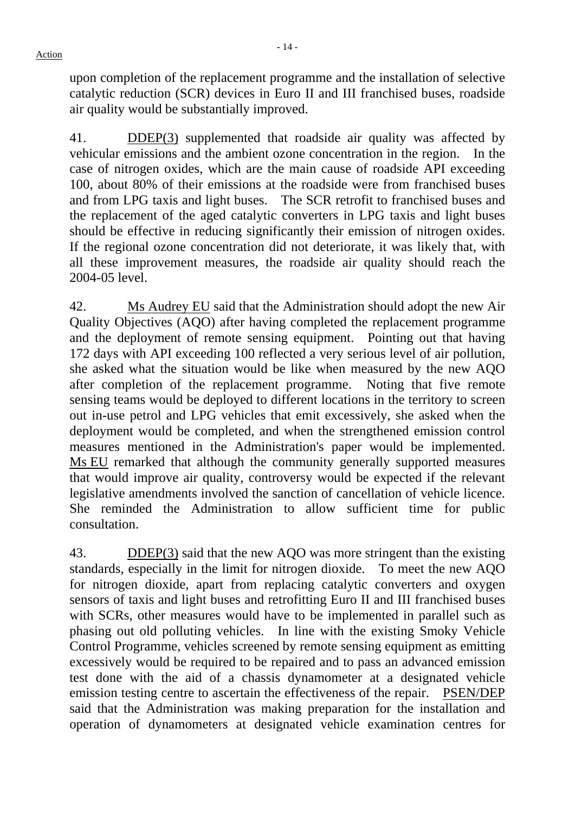upon completion of the replacement programme and the installation of selective catalytic reduction (SCR) devices in Euro II and III franchised buses, roadside air quality would be substantially improved.

41. DDEP(3) supplemented that roadside air quality was affected by vehicular emissions and the ambient ozone concentration in the region. In the case of nitrogen oxides, which are the main cause of roadside API exceeding 100, about 80% of their emissions at the roadside were from franchised buses and from LPG taxis and light buses. The SCR retrofit to franchised buses and the replacement of the aged catalytic converters in LPG taxis and light buses should be effective in reducing significantly their emission of nitrogen oxides. If the regional ozone concentration did not deteriorate, it was likely that, with all these improvement measures, the roadside air quality should reach the 2004-05 level.

42. Ms Audrey EU said that the Administration should adopt the new Air Quality Objectives (AQO) after having completed the replacement programme and the deployment of remote sensing equipment. Pointing out that having 172 days with API exceeding 100 reflected a very serious level of air pollution, she asked what the situation would be like when measured by the new AQO after completion of the replacement programme. Noting that five remote sensing teams would be deployed to different locations in the territory to screen out in-use petrol and LPG vehicles that emit excessively, she asked when the deployment would be completed, and when the strengthened emission control measures mentioned in the Administration's paper would be implemented. Ms EU remarked that although the community generally supported measures that would improve air quality, controversy would be expected if the relevant legislative amendments involved the sanction of cancellation of vehicle licence. She reminded the Administration to allow sufficient time for public consultation.

43. DDEP(3) said that the new AQO was more stringent than the existing standards, especially in the limit for nitrogen dioxide. To meet the new AQO for nitrogen dioxide, apart from replacing catalytic converters and oxygen sensors of taxis and light buses and retrofitting Euro II and III franchised buses with SCRs, other measures would have to be implemented in parallel such as phasing out old polluting vehicles. In line with the existing Smoky Vehicle Control Programme, vehicles screened by remote sensing equipment as emitting excessively would be required to be repaired and to pass an advanced emission test done with the aid of a chassis dynamometer at a designated vehicle emission testing centre to ascertain the effectiveness of the repair. PSEN/DEP said that the Administration was making preparation for the installation and operation of dynamometers at designated vehicle examination centres for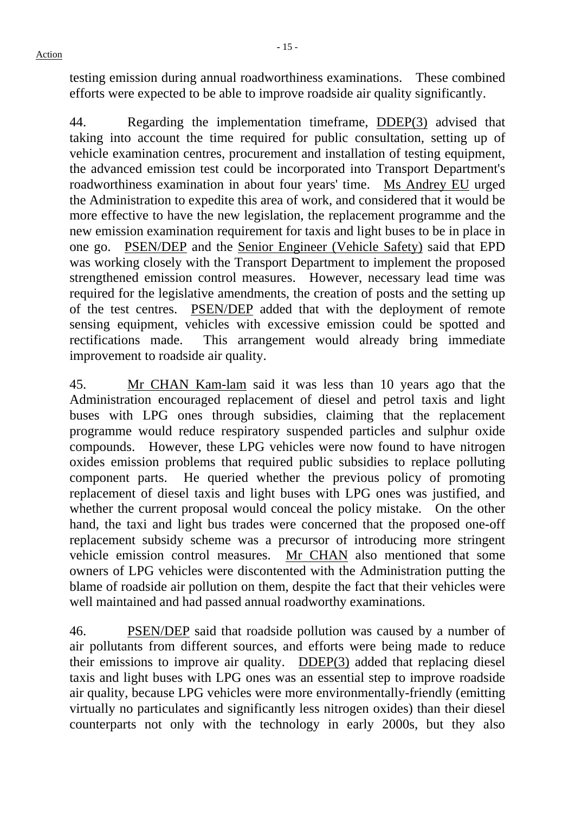44. Regarding the implementation timeframe, DDEP(3) advised that taking into account the time required for public consultation, setting up of vehicle examination centres, procurement and installation of testing equipment, the advanced emission test could be incorporated into Transport Department's roadworthiness examination in about four years' time. Ms Andrey EU urged the Administration to expedite this area of work, and considered that it would be more effective to have the new legislation, the replacement programme and the new emission examination requirement for taxis and light buses to be in place in one go. PSEN/DEP and the Senior Engineer (Vehicle Safety) said that EPD was working closely with the Transport Department to implement the proposed strengthened emission control measures. However, necessary lead time was required for the legislative amendments, the creation of posts and the setting up of the test centres. PSEN/DEP added that with the deployment of remote sensing equipment, vehicles with excessive emission could be spotted and rectifications made. This arrangement would already bring immediate improvement to roadside air quality.

45. Mr CHAN Kam-lam said it was less than 10 years ago that the Administration encouraged replacement of diesel and petrol taxis and light buses with LPG ones through subsidies, claiming that the replacement programme would reduce respiratory suspended particles and sulphur oxide compounds. However, these LPG vehicles were now found to have nitrogen oxides emission problems that required public subsidies to replace polluting component parts. He queried whether the previous policy of promoting replacement of diesel taxis and light buses with LPG ones was justified, and whether the current proposal would conceal the policy mistake. On the other hand, the taxi and light bus trades were concerned that the proposed one-off replacement subsidy scheme was a precursor of introducing more stringent vehicle emission control measures. Mr CHAN also mentioned that some owners of LPG vehicles were discontented with the Administration putting the blame of roadside air pollution on them, despite the fact that their vehicles were well maintained and had passed annual roadworthy examinations.

46. PSEN/DEP said that roadside pollution was caused by a number of air pollutants from different sources, and efforts were being made to reduce their emissions to improve air quality. DDEP(3) added that replacing diesel taxis and light buses with LPG ones was an essential step to improve roadside air quality, because LPG vehicles were more environmentally-friendly (emitting virtually no particulates and significantly less nitrogen oxides) than their diesel counterparts not only with the technology in early 2000s, but they also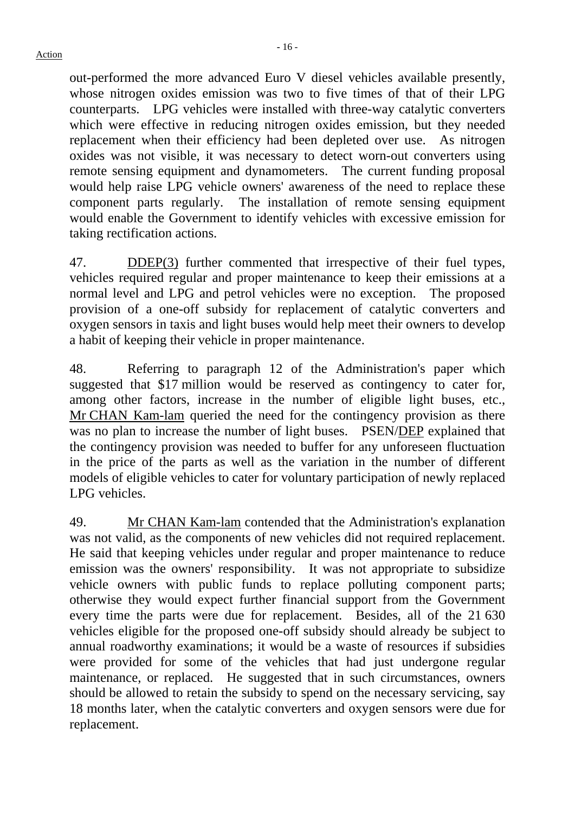out-performed the more advanced Euro V diesel vehicles available presently, whose nitrogen oxides emission was two to five times of that of their LPG counterparts. LPG vehicles were installed with three-way catalytic converters which were effective in reducing nitrogen oxides emission, but they needed replacement when their efficiency had been depleted over use. As nitrogen oxides was not visible, it was necessary to detect worn-out converters using remote sensing equipment and dynamometers. The current funding proposal would help raise LPG vehicle owners' awareness of the need to replace these component parts regularly. The installation of remote sensing equipment would enable the Government to identify vehicles with excessive emission for taking rectification actions.

47. DDEP(3) further commented that irrespective of their fuel types, vehicles required regular and proper maintenance to keep their emissions at a normal level and LPG and petrol vehicles were no exception. The proposed provision of a one-off subsidy for replacement of catalytic converters and oxygen sensors in taxis and light buses would help meet their owners to develop a habit of keeping their vehicle in proper maintenance.

48. Referring to paragraph 12 of the Administration's paper which suggested that \$17 million would be reserved as contingency to cater for, among other factors, increase in the number of eligible light buses, etc., Mr CHAN Kam-lam queried the need for the contingency provision as there was no plan to increase the number of light buses. PSEN/DEP explained that the contingency provision was needed to buffer for any unforeseen fluctuation in the price of the parts as well as the variation in the number of different models of eligible vehicles to cater for voluntary participation of newly replaced LPG vehicles.

49. Mr CHAN Kam-lam contended that the Administration's explanation was not valid, as the components of new vehicles did not required replacement. He said that keeping vehicles under regular and proper maintenance to reduce emission was the owners' responsibility. It was not appropriate to subsidize vehicle owners with public funds to replace polluting component parts; otherwise they would expect further financial support from the Government every time the parts were due for replacement. Besides, all of the 21 630 vehicles eligible for the proposed one-off subsidy should already be subject to annual roadworthy examinations; it would be a waste of resources if subsidies were provided for some of the vehicles that had just undergone regular maintenance, or replaced. He suggested that in such circumstances, owners should be allowed to retain the subsidy to spend on the necessary servicing, say 18 months later, when the catalytic converters and oxygen sensors were due for replacement.